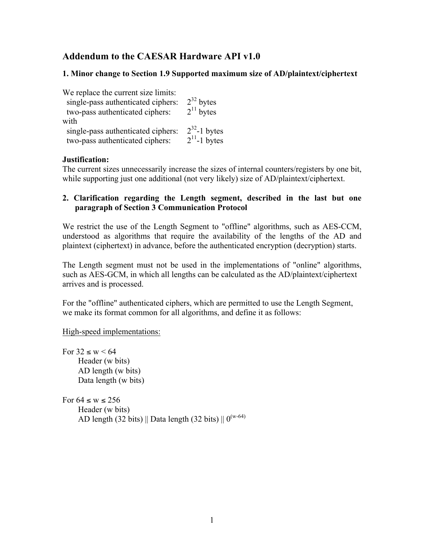# **Addendum to the CAESAR Hardware API v1.0**

### **1. Minor change to Section 1.9 Supported maximum size of AD/plaintext/ciphertext**

| We replace the current size limits:<br>single-pass authenticated ciphers:<br>two-pass authenticated ciphers: | $2^{32}$ bytes<br>$2^{11}$ bytes       |
|--------------------------------------------------------------------------------------------------------------|----------------------------------------|
| with<br>single-pass authenticated ciphers:<br>two-pass authenticated ciphers:                                | $2^{32}$ -1 bytes<br>$2^{11}$ -1 bytes |

### **Justification:**

The current sizes unnecessarily increase the sizes of internal counters/registers by one bit, while supporting just one additional (not very likely) size of AD/plaintext/ciphertext.

#### **2. Clarification regarding the Length segment, described in the last but one paragraph of Section 3 Communication Protocol**

We restrict the use of the Length Segment to "offline" algorithms, such as AES-CCM, understood as algorithms that require the availability of the lengths of the AD and plaintext (ciphertext) in advance, before the authenticated encryption (decryption) starts.

The Length segment must not be used in the implementations of "online" algorithms, such as AES-GCM, in which all lengths can be calculated as the AD/plaintext/ciphertext arrives and is processed.

For the "offline" authenticated ciphers, which are permitted to use the Length Segment, we make its format common for all algorithms, and define it as follows:

High-speed implementations:

For  $32 \leq w \leq 64$ Header (w bits) AD length (w bits) Data length (w bits)

For  $64 \leq w \leq 256$ Header (w bits) AD length (32 bits) || Data length (32 bits) ||  $0^{(w-64)}$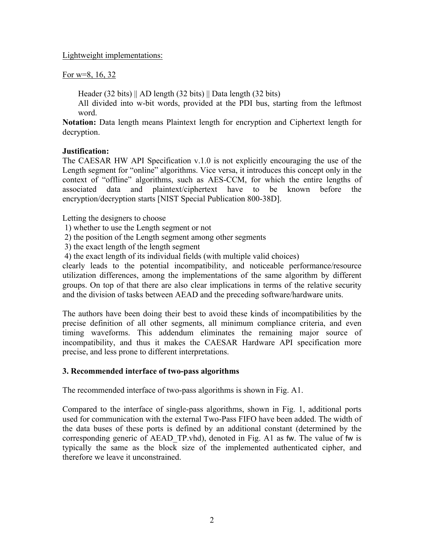Lightweight implementations:

For w=8, 16, 32

Header (32 bits) || AD length (32 bits) || Data length (32 bits)

All divided into w-bit words, provided at the PDI bus, starting from the leftmost word.

**Notation:** Data length means Plaintext length for encryption and Ciphertext length for decryption.

### **Justification:**

The CAESAR HW API Specification v.1.0 is not explicitly encouraging the use of the Length segment for "online" algorithms. Vice versa, it introduces this concept only in the context of "offline" algorithms, such as AES-CCM, for which the entire lengths of associated data and plaintext/ciphertext have to be known before the encryption/decryption starts [NIST Special Publication 800-38D].

Letting the designers to choose

- 1) whether to use the Length segment or not
- 2) the position of the Length segment among other segments
- 3) the exact length of the length segment
- 4) the exact length of its individual fields (with multiple valid choices)

clearly leads to the potential incompatibility, and noticeable performance/resource utilization differences, among the implementations of the same algorithm by different groups. On top of that there are also clear implications in terms of the relative security and the division of tasks between AEAD and the preceding software/hardware units.

The authors have been doing their best to avoid these kinds of incompatibilities by the precise definition of all other segments, all minimum compliance criteria, and even timing waveforms. This addendum eliminates the remaining major source of incompatibility, and thus it makes the CAESAR Hardware API specification more precise, and less prone to different interpretations.

## **3. Recommended interface of two-pass algorithms**

The recommended interface of two-pass algorithms is shown in Fig. A1.

Compared to the interface of single-pass algorithms, shown in Fig. 1, additional ports used for communication with the external Two-Pass FIFO have been added. The width of the data buses of these ports is defined by an additional constant (determined by the corresponding generic of AEAD\_TP.vhd), denoted in Fig. A1 as fw. The value of fw is typically the same as the block size of the implemented authenticated cipher, and therefore we leave it unconstrained.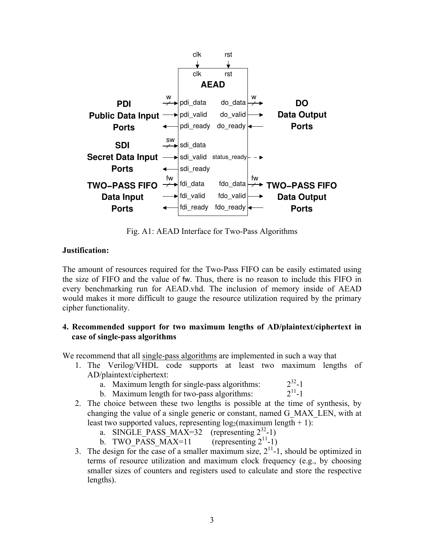

Fig. A1: AEAD Interface for Two-Pass Algorithms

## **Justification:**

The amount of resources required for the Two-Pass FIFO can be easily estimated using the size of FIFO and the value of fw. Thus, there is no reason to include this FIFO in every benchmarking run for AEAD.vhd. The inclusion of memory inside of AEAD would makes it more difficult to gauge the resource utilization required by the primary cipher functionality.

## **4. Recommended support for two maximum lengths of AD/plaintext/ciphertext in case of single-pass algorithms**

We recommend that all single-pass algorithms are implemented in such a way that

- 1. The Verilog/VHDL code supports at least two maximum lengths of AD/plaintext/ciphertext:
	- a. Maximum length for single-pass algorithms:  $2^{32}$ -1<br>b Maximum length for two-pass algorithms:  $2^{11}$ -1
	- b. Maximum length for two-pass algorithms:
- 2. The choice between these two lengths is possible at the time of synthesis, by changing the value of a single generic or constant, named G\_MAX\_LEN, with at least two supported values, representing  $log_2$ (maximum length + 1):
	- a. SINGLE PASS MAX=32 (representing  $2^{32}-1$ )
	- b. TWO PASS MAX=11 (representing  $2^{11}$ -1)
- 3. The design for the case of a smaller maximum size,  $2^{11}$ -1, should be optimized in terms of resource utilization and maximum clock frequency (e.g., by choosing smaller sizes of counters and registers used to calculate and store the respective lengths).